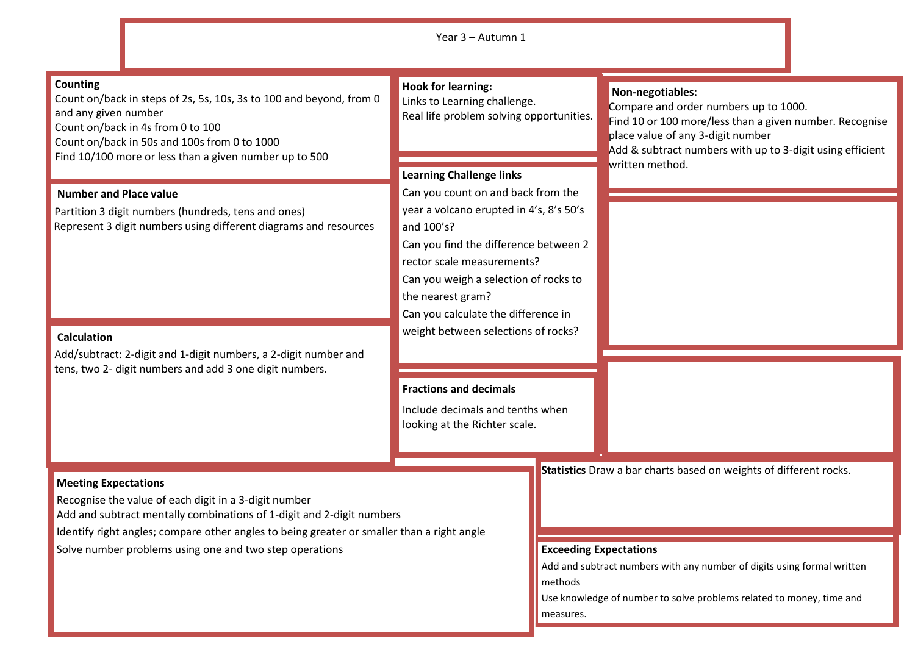|                                                                                                                                                                                                                                                                                                                        | Year 3 - Autumn 1                                                                                                                                                                                                                                                                                                                                                                                                                                          |                                                       |                                                                                                                                                                                                                                           |
|------------------------------------------------------------------------------------------------------------------------------------------------------------------------------------------------------------------------------------------------------------------------------------------------------------------------|------------------------------------------------------------------------------------------------------------------------------------------------------------------------------------------------------------------------------------------------------------------------------------------------------------------------------------------------------------------------------------------------------------------------------------------------------------|-------------------------------------------------------|-------------------------------------------------------------------------------------------------------------------------------------------------------------------------------------------------------------------------------------------|
| Counting<br>Count on/back in steps of 2s, 5s, 10s, 3s to 100 and beyond, from 0<br>and any given number<br>Count on/back in 4s from 0 to 100<br>Count on/back in 50s and 100s from 0 to 1000<br>Find 10/100 more or less than a given number up to 500                                                                 | <b>Hook for learning:</b><br>Links to Learning challenge.<br>Real life problem solving opportunities.<br><b>Learning Challenge links</b><br>Can you count on and back from the<br>year a volcano erupted in 4's, 8's 50's<br>and 100's?<br>Can you find the difference between 2<br>rector scale measurements?<br>Can you weigh a selection of rocks to<br>the nearest gram?<br>Can you calculate the difference in<br>weight between selections of rocks? |                                                       | Non-negotiables:<br>Compare and order numbers up to 1000.<br>Find 10 or 100 more/less than a given number. Recognise<br>place value of any 3-digit number<br>Add & subtract numbers with up to 3-digit using efficient<br>written method. |
| <b>Number and Place value</b><br>Partition 3 digit numbers (hundreds, tens and ones)<br>Represent 3 digit numbers using different diagrams and resources<br><b>Calculation</b><br>Add/subtract: 2-digit and 1-digit numbers, a 2-digit number and<br>tens, two 2- digit numbers and add 3 one digit numbers.           |                                                                                                                                                                                                                                                                                                                                                                                                                                                            |                                                       |                                                                                                                                                                                                                                           |
|                                                                                                                                                                                                                                                                                                                        | <b>Fractions and decimals</b><br>Include decimals and tenths when<br>looking at the Richter scale.                                                                                                                                                                                                                                                                                                                                                         |                                                       |                                                                                                                                                                                                                                           |
| <b>Meeting Expectations</b><br>Recognise the value of each digit in a 3-digit number<br>Add and subtract mentally combinations of 1-digit and 2-digit numbers<br>Identify right angles; compare other angles to being greater or smaller than a right angle<br>Solve number problems using one and two step operations |                                                                                                                                                                                                                                                                                                                                                                                                                                                            | <b>Exceeding Expectations</b><br>methods<br>measures. | Statistics Draw a bar charts based on weights of different rocks.<br>Add and subtract numbers with any number of digits using formal written<br>Use knowledge of number to solve problems related to money, time and                      |